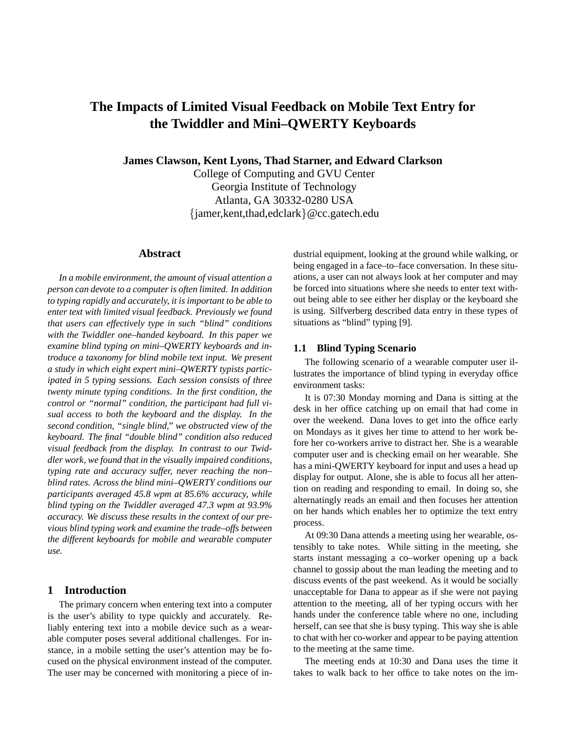# **The Impacts of Limited Visual Feedback on Mobile Text Entry for the Twiddler and Mini–QWERTY Keyboards**

**James Clawson, Kent Lyons, Thad Starner, and Edward Clarkson**

College of Computing and GVU Center Georgia Institute of Technology Atlanta, GA 30332-0280 USA {jamer,kent,thad,edclark}@cc.gatech.edu

### **Abstract**

*In a mobile environment, the amount of visual attention a person can devote to a computer is often limited. In addition to typing rapidly and accurately, it is important to be able to enter text with limited visual feedback. Previously we found that users can effectively type in such "blind" conditions with the Twiddler one–handed keyboard. In this paper we examine blind typing on mini–QWERTY keyboards and introduce a taxonomy for blind mobile text input. We present a study in which eight expert mini–QWERTY typists participated in 5 typing sessions. Each session consists of three twenty minute typing conditions. In the first condition, the control or "normal" condition, the participant had full visual access to both the keyboard and the display. In the second condition, "single blind," we obstructed view of the keyboard. The final "double blind" condition also reduced visual feedback from the display. In contrast to our Twiddler work, we found that in the visually impaired conditions, typing rate and accuracy suffer, never reaching the non– blind rates. Across the blind mini–QWERTY conditions our participants averaged 45.8 wpm at 85.6% accuracy, while blind typing on the Twiddler averaged 47.3 wpm at 93.9% accuracy. We discuss these results in the context of our previous blind typing work and examine the trade–offs between the different keyboards for mobile and wearable computer use.*

# **1 Introduction**

The primary concern when entering text into a computer is the user's ability to type quickly and accurately. Reliably entering text into a mobile device such as a wearable computer poses several additional challenges. For instance, in a mobile setting the user's attention may be focused on the physical environment instead of the computer. The user may be concerned with monitoring a piece of industrial equipment, looking at the ground while walking, or being engaged in a face–to–face conversation. In these situations, a user can not always look at her computer and may be forced into situations where she needs to enter text without being able to see either her display or the keyboard she is using. Silfverberg described data entry in these types of situations as "blind" typing [9].

### **1.1 Blind Typing Scenario**

The following scenario of a wearable computer user illustrates the importance of blind typing in everyday office environment tasks:

It is 07:30 Monday morning and Dana is sitting at the desk in her office catching up on email that had come in over the weekend. Dana loves to get into the office early on Mondays as it gives her time to attend to her work before her co-workers arrive to distract her. She is a wearable computer user and is checking email on her wearable. She has a mini-QWERTY keyboard for input and uses a head up display for output. Alone, she is able to focus all her attention on reading and responding to email. In doing so, she alternatingly reads an email and then focuses her attention on her hands which enables her to optimize the text entry process.

At 09:30 Dana attends a meeting using her wearable, ostensibly to take notes. While sitting in the meeting, she starts instant messaging a co–worker opening up a back channel to gossip about the man leading the meeting and to discuss events of the past weekend. As it would be socially unacceptable for Dana to appear as if she were not paying attention to the meeting, all of her typing occurs with her hands under the conference table where no one, including herself, can see that she is busy typing. This way she is able to chat with her co-worker and appear to be paying attention to the meeting at the same time.

The meeting ends at 10:30 and Dana uses the time it takes to walk back to her office to take notes on the im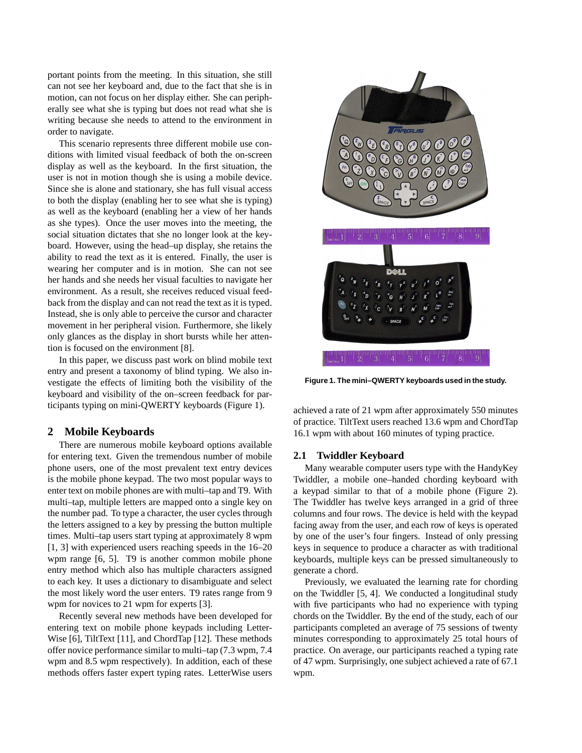portant points from the meeting. In this situation, she still can not see her keyboard and, due to the fact that she is in motion, can not focus on her display either. She can peripherally see what she is typing but does not read what she is writing because she needs to attend to the environment in order to navigate.

This scenario represents three different mobile use conditions with limited visual feedback of both the on-screen display as well as the keyboard. In the first situation, the user is not in motion though she is using a mobile device. Since she is alone and stationary, she has full visual access to both the display (enabling her to see what she is typing) as well as the keyboard (enabling her a view of her hands as she types). Once the user moves into the meeting, the social situation dictates that she no longer look at the keyboard. However, using the head–up display, she retains the ability to read the text as it is entered. Finally, the user is wearing her computer and is in motion. She can not see her hands and she needs her visual faculties to navigate her environment. As a result, she receives reduced visual feedback from the display and can not read the text as it is typed. Instead, she is only able to perceive the cursor and character movement in her peripheral vision. Furthermore, she likely only glances as the display in short bursts while her attention is focused on the environment [8].

In this paper, we discuss past work on blind mobile text entry and present a taxonomy of blind typing. We also investigate the effects of limiting both the visibility of the keyboard and visibility of the on–screen feedback for participants typing on mini-QWERTY keyboards (Figure 1).

# **2 Mobile Keyboards**

There are numerous mobile keyboard options available for entering text. Given the tremendous number of mobile phone users, one of the most prevalent text entry devices is the mobile phone keypad. The two most popular ways to enter text on mobile phones are with multi–tap and T9. With multi–tap, multiple letters are mapped onto a single key on the number pad. To type a character, the user cycles through the letters assigned to a key by pressing the button multiple times. Multi–tap users start typing at approximately 8 wpm [1, 3] with experienced users reaching speeds in the 16–20 wpm range [6, 5]. T9 is another common mobile phone entry method which also has multiple characters assigned to each key. It uses a dictionary to disambiguate and select the most likely word the user enters. T9 rates range from 9 wpm for novices to 21 wpm for experts [3].

Recently several new methods have been developed for entering text on mobile phone keypads including Letter-Wise [6], TiltText [11], and ChordTap [12]. These methods offer novice performance similar to multi–tap (7.3 wpm, 7.4 wpm and 8.5 wpm respectively). In addition, each of these methods offers faster expert typing rates. LetterWise users



**Figure 1. The mini–QWERTY keyboards used in the study.**

achieved a rate of 21 wpm after approximately 550 minutes of practice. TiltText users reached 13.6 wpm and ChordTap 16.1 wpm with about 160 minutes of typing practice.

#### **2.1 Twiddler Keyboard**

Many wearable computer users type with the HandyKey Twiddler, a mobile one–handed chording keyboard with a keypad similar to that of a mobile phone (Figure 2). The Twiddler has twelve keys arranged in a grid of three columns and four rows. The device is held with the keypad facing away from the user, and each row of keys is operated by one of the user's four fingers. Instead of only pressing keys in sequence to produce a character as with traditional keyboards, multiple keys can be pressed simultaneously to generate a chord.

Previously, we evaluated the learning rate for chording on the Twiddler [5, 4]. We conducted a longitudinal study with five participants who had no experience with typing chords on the Twiddler. By the end of the study, each of our participants completed an average of 75 sessions of twenty minutes corresponding to approximately 25 total hours of practice. On average, our participants reached a typing rate of 47 wpm. Surprisingly, one subject achieved a rate of 67.1 wpm.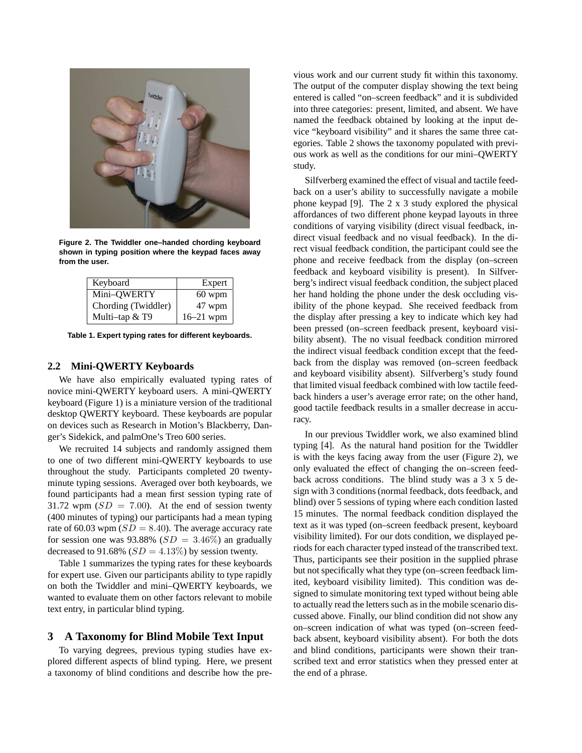

**Figure 2. The Twiddler one–handed chording keyboard shown in typing position where the keypad faces away from the user.**

| Keyboard            | Expert      |
|---------------------|-------------|
| Mini-QWERTY         | $60$ wpm    |
| Chording (Twiddler) | 47 wpm      |
| Multi-tap & T9      | $16-21$ wpm |

**Table 1. Expert typing rates for different keyboards.**

### **2.2 Mini-QWERTY Keyboards**

We have also empirically evaluated typing rates of novice mini-QWERTY keyboard users. A mini-QWERTY keyboard (Figure 1) is a miniature version of the traditional desktop QWERTY keyboard. These keyboards are popular on devices such as Research in Motion's Blackberry, Danger's Sidekick, and palmOne's Treo 600 series.

We recruited 14 subjects and randomly assigned them to one of two different mini-QWERTY keyboards to use throughout the study. Participants completed 20 twentyminute typing sessions. Averaged over both keyboards, we found participants had a mean first session typing rate of 31.72 wpm  $(SD = 7.00)$ . At the end of session twenty (400 minutes of typing) our participants had a mean typing rate of 60.03 wpm  $SD = 8.40$ ). The average accuracy rate for session one was 93.88% ( $SD = 3.46\%$ ) an gradually decreased to 91.68% ( $SD = 4.13\%$ ) by session twenty.

Table 1 summarizes the typing rates for these keyboards for expert use. Given our participants ability to type rapidly on both the Twiddler and mini–QWERTY keyboards, we wanted to evaluate them on other factors relevant to mobile text entry, in particular blind typing.

### **3 A Taxonomy for Blind Mobile Text Input**

To varying degrees, previous typing studies have explored different aspects of blind typing. Here, we present a taxonomy of blind conditions and describe how the previous work and our current study fit within this taxonomy. The output of the computer display showing the text being entered is called "on–screen feedback" and it is subdivided into three categories: present, limited, and absent. We have named the feedback obtained by looking at the input device "keyboard visibility" and it shares the same three categories. Table 2 shows the taxonomy populated with previous work as well as the conditions for our mini–QWERTY study.

Silfverberg examined the effect of visual and tactile feedback on a user's ability to successfully navigate a mobile phone keypad [9]. The 2 x 3 study explored the physical affordances of two different phone keypad layouts in three conditions of varying visibility (direct visual feedback, indirect visual feedback and no visual feedback). In the direct visual feedback condition, the participant could see the phone and receive feedback from the display (on–screen feedback and keyboard visibility is present). In Silfverberg's indirect visual feedback condition, the subject placed her hand holding the phone under the desk occluding visibility of the phone keypad. She received feedback from the display after pressing a key to indicate which key had been pressed (on–screen feedback present, keyboard visibility absent). The no visual feedback condition mirrored the indirect visual feedback condition except that the feedback from the display was removed (on–screen feedback and keyboard visibility absent). Silfverberg's study found that limited visual feedback combined with low tactile feedback hinders a user's average error rate; on the other hand, good tactile feedback results in a smaller decrease in accuracy.

In our previous Twiddler work, we also examined blind typing [4]. As the natural hand position for the Twiddler is with the keys facing away from the user (Figure 2), we only evaluated the effect of changing the on–screen feedback across conditions. The blind study was a 3 x 5 design with 3 conditions (normal feedback, dots feedback, and blind) over 5 sessions of typing where each condition lasted 15 minutes. The normal feedback condition displayed the text as it was typed (on–screen feedback present, keyboard visibility limited). For our dots condition, we displayed periods for each character typed instead of the transcribed text. Thus, participants see their position in the supplied phrase but not specifically what they type (on–screen feedback limited, keyboard visibility limited). This condition was designed to simulate monitoring text typed without being able to actually read the letters such as in the mobile scenario discussed above. Finally, our blind condition did not show any on–screen indication of what was typed (on–screen feedback absent, keyboard visibility absent). For both the dots and blind conditions, participants were shown their transcribed text and error statistics when they pressed enter at the end of a phrase.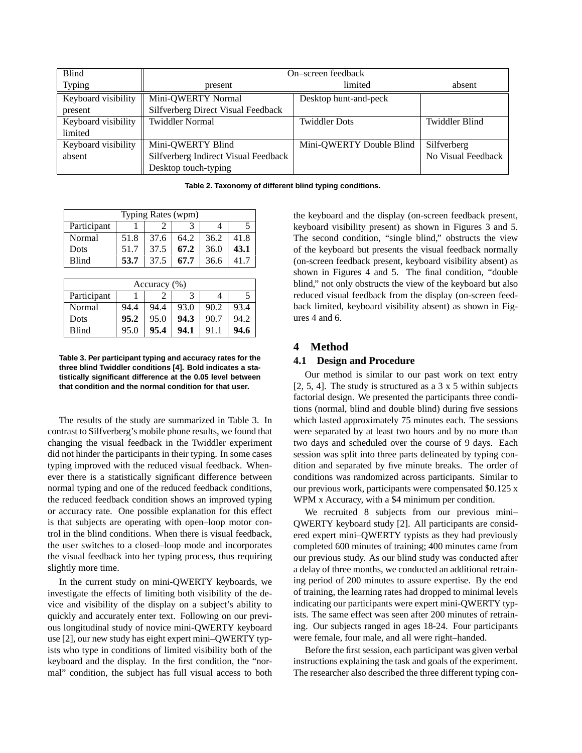| <b>Blind</b>        | On-screen feedback                   |                          |                       |  |
|---------------------|--------------------------------------|--------------------------|-----------------------|--|
| Typing              | present                              | limited                  | absent                |  |
| Keyboard visibility | Mini-QWERTY Normal                   | Desktop hunt-and-peck    |                       |  |
| present             | Silfverberg Direct Visual Feedback   |                          |                       |  |
| Keyboard visibility | Twiddler Normal                      | <b>Twiddler Dots</b>     | <b>Twiddler Blind</b> |  |
| limited             |                                      |                          |                       |  |
| Keyboard visibility | Mini-QWERTY Blind                    | Mini-QWERTY Double Blind | Silfverberg           |  |
| absent              | Silfverberg Indirect Visual Feedback |                          | No Visual Feedback    |  |
|                     | Desktop touch-typing                 |                          |                       |  |

**Table 2. Taxonomy of different blind typing conditions.**

| Typing Rates (wpm) |      |      |      |      |      |
|--------------------|------|------|------|------|------|
| Participant        |      |      |      |      |      |
| Normal             | 51.8 | 37.6 | 64.2 | 36.2 | 41.8 |
| <b>Dots</b>        | 51.7 | 37.5 | 67.2 | 36.0 | 43.1 |
| <b>Blind</b>       | 53.7 | 37.5 | 67.7 | 36.6 |      |

| Accuracy $(\% )$ |      |      |      |      |      |
|------------------|------|------|------|------|------|
| Participant      |      |      |      |      |      |
| Normal           | 94.4 | 94.4 | 93.0 | 90.2 | 93.4 |
| Dots             | 95.2 | 95.0 | 94.3 | 90.7 | 94.2 |
| <b>Blind</b>     | 95.0 | 95.4 | 94.1 | 91.1 | 94.6 |

**Table 3. Per participant typing and accuracy rates for the three blind Twiddler conditions [4]. Bold indicates a statistically significant difference at the 0.05 level between that condition and the normal condition for that user.**

The results of the study are summarized in Table 3. In contrast to Silfverberg's mobile phone results, we found that changing the visual feedback in the Twiddler experiment did not hinder the participants in their typing. In some cases typing improved with the reduced visual feedback. Whenever there is a statistically significant difference between normal typing and one of the reduced feedback conditions, the reduced feedback condition shows an improved typing or accuracy rate. One possible explanation for this effect is that subjects are operating with open–loop motor control in the blind conditions. When there is visual feedback, the user switches to a closed–loop mode and incorporates the visual feedback into her typing process, thus requiring slightly more time.

In the current study on mini-QWERTY keyboards, we investigate the effects of limiting both visibility of the device and visibility of the display on a subject's ability to quickly and accurately enter text. Following on our previous longitudinal study of novice mini-QWERTY keyboard use [2], our new study has eight expert mini–QWERTY typists who type in conditions of limited visibility both of the keyboard and the display. In the first condition, the "normal" condition, the subject has full visual access to both the keyboard and the display (on-screen feedback present, keyboard visibility present) as shown in Figures 3 and 5. The second condition, "single blind," obstructs the view of the keyboard but presents the visual feedback normally (on-screen feedback present, keyboard visibility absent) as shown in Figures 4 and 5. The final condition, "double blind," not only obstructs the view of the keyboard but also reduced visual feedback from the display (on-screen feedback limited, keyboard visibility absent) as shown in Figures 4 and 6.

# **4 Method**

# **4.1 Design and Procedure**

Our method is similar to our past work on text entry  $[2, 5, 4]$ . The study is structured as a 3 x 5 within subjects factorial design. We presented the participants three conditions (normal, blind and double blind) during five sessions which lasted approximately 75 minutes each. The sessions were separated by at least two hours and by no more than two days and scheduled over the course of 9 days. Each session was split into three parts delineated by typing condition and separated by five minute breaks. The order of conditions was randomized across participants. Similar to our previous work, participants were compensated \$0.125 x WPM x Accuracy, with a \$4 minimum per condition.

We recruited 8 subjects from our previous mini– QWERTY keyboard study [2]. All participants are considered expert mini–QWERTY typists as they had previously completed 600 minutes of training; 400 minutes came from our previous study. As our blind study was conducted after a delay of three months, we conducted an additional retraining period of 200 minutes to assure expertise. By the end of training, the learning rates had dropped to minimal levels indicating our participants were expert mini-QWERTY typists. The same effect was seen after 200 minutes of retraining. Our subjects ranged in ages 18-24. Four participants were female, four male, and all were right–handed.

Before the first session, each participant was given verbal instructions explaining the task and goals of the experiment. The researcher also described the three different typing con-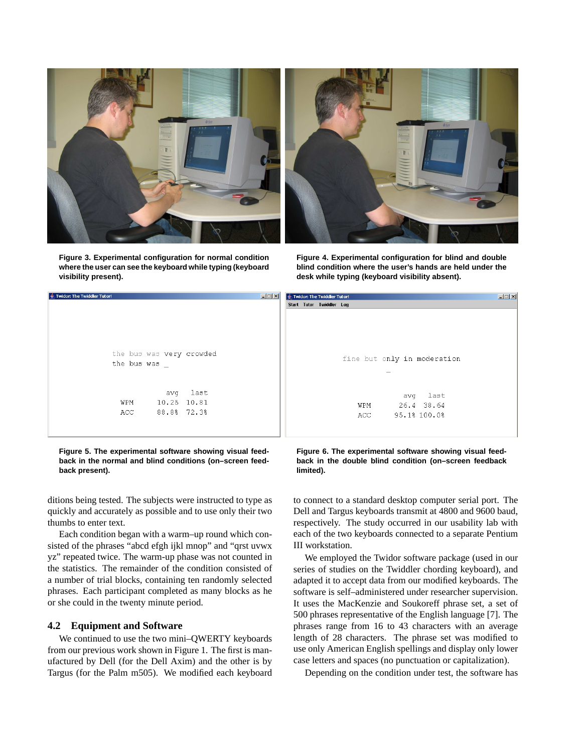

**Figure 3. Experimental configuration for normal condition where the user can see the keyboard while typing (keyboard visibility present).**



**Figure 4. Experimental configuration for blind and double blind condition where the user's hands are held under the desk while typing (keyboard visibility absent).**

| Twidor: The Twiddler Tutor!                                                   | $\Box$ | $\Box$<br>Twidor: The Twiddler Tutor!                   |
|-------------------------------------------------------------------------------|--------|---------------------------------------------------------|
| the bus was very crowded                                                      |        | Start Tutor Twiddler Log<br>fine but only in moderation |
| the bus was $_{-}$<br>last<br>avq<br>10.25 10.81<br>WPM<br>88.8% 72.3%<br>ACC |        | avq last<br>26.4 38.64<br>WPM<br>95.1% 100.0%<br>ACC.   |

**Figure 5. The experimental software showing visual feedback in the normal and blind conditions (on–screen feedback present).**

ditions being tested. The subjects were instructed to type as quickly and accurately as possible and to use only their two thumbs to enter text.

Each condition began with a warm–up round which consisted of the phrases "abcd efgh ijkl mnop" and "qrst uvwx yz" repeated twice. The warm-up phase was not counted in the statistics. The remainder of the condition consisted of a number of trial blocks, containing ten randomly selected phrases. Each participant completed as many blocks as he or she could in the twenty minute period.

#### **4.2 Equipment and Software**

We continued to use the two mini–QWERTY keyboards from our previous work shown in Figure 1. The first is manufactured by Dell (for the Dell Axim) and the other is by Targus (for the Palm m505). We modified each keyboard

**Figure 6. The experimental software showing visual feedback in the double blind condition (on–screen feedback limited).**

to connect to a standard desktop computer serial port. The Dell and Targus keyboards transmit at 4800 and 9600 baud, respectively. The study occurred in our usability lab with each of the two keyboards connected to a separate Pentium III workstation.

We employed the Twidor software package (used in our series of studies on the Twiddler chording keyboard), and adapted it to accept data from our modified keyboards. The software is self–administered under researcher supervision. It uses the MacKenzie and Soukoreff phrase set, a set of 500 phrases representative of the English language [7]. The phrases range from 16 to 43 characters with an average length of 28 characters. The phrase set was modified to use only American English spellings and display only lower case letters and spaces (no punctuation or capitalization).

Depending on the condition under test, the software has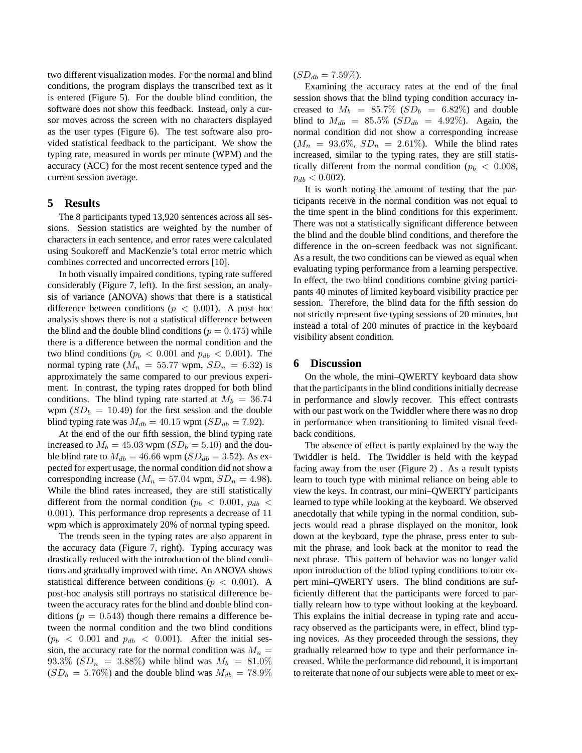two different visualization modes. For the normal and blind conditions, the program displays the transcribed text as it is entered (Figure 5). For the double blind condition, the software does not show this feedback. Instead, only a cursor moves across the screen with no characters displayed as the user types (Figure 6). The test software also provided statistical feedback to the participant. We show the typing rate, measured in words per minute (WPM) and the accuracy (ACC) for the most recent sentence typed and the current session average.

# **5 Results**

The 8 participants typed 13,920 sentences across all sessions. Session statistics are weighted by the number of characters in each sentence, and error rates were calculated using Soukoreff and MacKenzie's total error metric which combines corrected and uncorrected errors [10].

In both visually impaired conditions, typing rate suffered considerably (Figure 7, left). In the first session, an analysis of variance (ANOVA) shows that there is a statistical difference between conditions ( $p < 0.001$ ). A post-hoc analysis shows there is not a statistical difference between the blind and the double blind conditions ( $p = 0.475$ ) while there is a difference between the normal condition and the two blind conditions ( $p_b < 0.001$  and  $p_{db} < 0.001$ ). The normal typing rate ( $M_n = 55.77$  wpm,  $SD_n = 6.32$ ) is approximately the same compared to our previous experiment. In contrast, the typing rates dropped for both blind conditions. The blind typing rate started at  $M_b = 36.74$ wpm  $(SD<sub>b</sub> = 10.49)$  for the first session and the double blind typing rate was  $M_{db} = 40.15$  wpm ( $SD_{db} = 7.92$ ).

At the end of the our fifth session, the blind typing rate increased to  $M_b = 45.03$  wpm  $(SD_b = 5.10)$  and the double blind rate to  $M_{db} = 46.66$  wpm  $(SD_{db} = 3.52)$ . As expected for expert usage, the normal condition did not show a corresponding increase ( $M_n = 57.04$  wpm,  $SD_n = 4.98$ ). While the blind rates increased, they are still statistically different from the normal condition ( $p_b < 0.001$ ,  $p_{db} <$ 0.001). This performance drop represents a decrease of 11 wpm which is approximately 20% of normal typing speed.

The trends seen in the typing rates are also apparent in the accuracy data (Figure 7, right). Typing accuracy was drastically reduced with the introduction of the blind conditions and gradually improved with time. An ANOVA shows statistical difference between conditions ( $p < 0.001$ ). A post-hoc analysis still portrays no statistical difference between the accuracy rates for the blind and double blind conditions ( $p = 0.543$ ) though there remains a difference between the normal condition and the two blind conditions  $(p_b < 0.001$  and  $p_{db} < 0.001$ ). After the initial session, the accuracy rate for the normal condition was  $M_n =$ 93.3% ( $SD_n = 3.88\%$ ) while blind was  $M_b = 81.0\%$  $(SD_b = 5.76\%)$  and the double blind was  $M_{db} = 78.9\%$   $(SD_{db} = 7.59\%).$ 

Examining the accuracy rates at the end of the final session shows that the blind typing condition accuracy increased to  $M_b = 85.7\%$  ( $SD_b = 6.82\%$ ) and double blind to  $M_{db} = 85.5\%$  ( $SD_{db} = 4.92\%$ ). Again, the normal condition did not show a corresponding increase  $(M_n = 93.6\%, SD_n = 2.61\%).$  While the blind rates increased, similar to the typing rates, they are still statistically different from the normal condition ( $p_b < 0.008$ ,  $p_{db} < 0.002$ ).

It is worth noting the amount of testing that the participants receive in the normal condition was not equal to the time spent in the blind conditions for this experiment. There was not a statistically significant difference between the blind and the double blind conditions, and therefore the difference in the on–screen feedback was not significant. As a result, the two conditions can be viewed as equal when evaluating typing performance from a learning perspective. In effect, the two blind conditions combine giving participants 40 minutes of limited keyboard visibility practice per session. Therefore, the blind data for the fifth session do not strictly represent five typing sessions of 20 minutes, but instead a total of 200 minutes of practice in the keyboard visibility absent condition.

#### **6 Discussion**

On the whole, the mini–QWERTY keyboard data show that the participants in the blind conditions initially decrease in performance and slowly recover. This effect contrasts with our past work on the Twiddler where there was no drop in performance when transitioning to limited visual feedback conditions.

The absence of effect is partly explained by the way the Twiddler is held. The Twiddler is held with the keypad facing away from the user (Figure 2) . As a result typists learn to touch type with minimal reliance on being able to view the keys. In contrast, our mini–QWERTY participants learned to type while looking at the keyboard. We observed anecdotally that while typing in the normal condition, subjects would read a phrase displayed on the monitor, look down at the keyboard, type the phrase, press enter to submit the phrase, and look back at the monitor to read the next phrase. This pattern of behavior was no longer valid upon introduction of the blind typing conditions to our expert mini–QWERTY users. The blind conditions are sufficiently different that the participants were forced to partially relearn how to type without looking at the keyboard. This explains the initial decrease in typing rate and accuracy observed as the participants were, in effect, blind typing novices. As they proceeded through the sessions, they gradually relearned how to type and their performance increased. While the performance did rebound, it is important to reiterate that none of our subjects were able to meet or ex-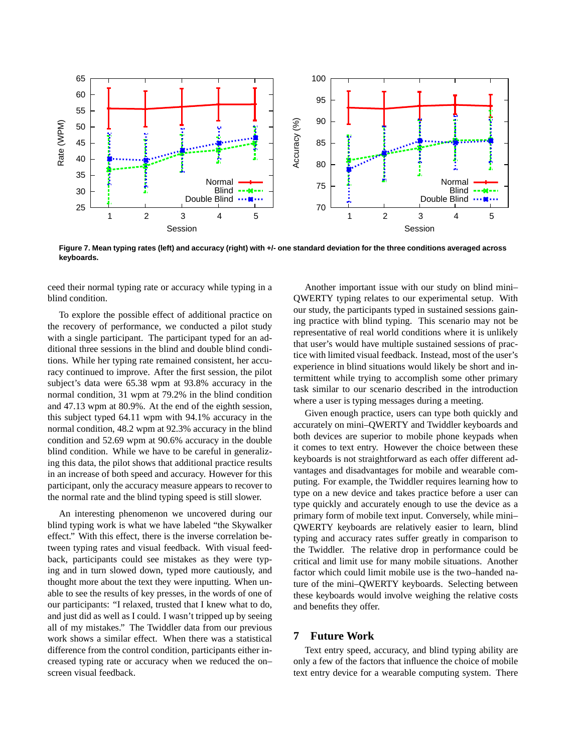

**Figure 7. Mean typing rates (left) and accuracy (right) with +/- one standard deviation for the three conditions averaged across keyboards.**

ceed their normal typing rate or accuracy while typing in a blind condition.

To explore the possible effect of additional practice on the recovery of performance, we conducted a pilot study with a single participant. The participant typed for an additional three sessions in the blind and double blind conditions. While her typing rate remained consistent, her accuracy continued to improve. After the first session, the pilot subject's data were 65.38 wpm at 93.8% accuracy in the normal condition, 31 wpm at 79.2% in the blind condition and 47.13 wpm at 80.9%. At the end of the eighth session, this subject typed 64.11 wpm with 94.1% accuracy in the normal condition, 48.2 wpm at 92.3% accuracy in the blind condition and 52.69 wpm at 90.6% accuracy in the double blind condition. While we have to be careful in generalizing this data, the pilot shows that additional practice results in an increase of both speed and accuracy. However for this participant, only the accuracy measure appears to recover to the normal rate and the blind typing speed is still slower.

An interesting phenomenon we uncovered during our blind typing work is what we have labeled "the Skywalker effect." With this effect, there is the inverse correlation between typing rates and visual feedback. With visual feedback, participants could see mistakes as they were typing and in turn slowed down, typed more cautiously, and thought more about the text they were inputting. When unable to see the results of key presses, in the words of one of our participants: "I relaxed, trusted that I knew what to do, and just did as well as I could. I wasn't tripped up by seeing all of my mistakes." The Twiddler data from our previous work shows a similar effect. When there was a statistical difference from the control condition, participants either increased typing rate or accuracy when we reduced the on– screen visual feedback.

Another important issue with our study on blind mini– QWERTY typing relates to our experimental setup. With our study, the participants typed in sustained sessions gaining practice with blind typing. This scenario may not be representative of real world conditions where it is unlikely that user's would have multiple sustained sessions of practice with limited visual feedback. Instead, most of the user's experience in blind situations would likely be short and intermittent while trying to accomplish some other primary task similar to our scenario described in the introduction where a user is typing messages during a meeting.

Given enough practice, users can type both quickly and accurately on mini–QWERTY and Twiddler keyboards and both devices are superior to mobile phone keypads when it comes to text entry. However the choice between these keyboards is not straightforward as each offer different advantages and disadvantages for mobile and wearable computing. For example, the Twiddler requires learning how to type on a new device and takes practice before a user can type quickly and accurately enough to use the device as a primary form of mobile text input. Conversely, while mini– QWERTY keyboards are relatively easier to learn, blind typing and accuracy rates suffer greatly in comparison to the Twiddler. The relative drop in performance could be critical and limit use for many mobile situations. Another factor which could limit mobile use is the two–handed nature of the mini–QWERTY keyboards. Selecting between these keyboards would involve weighing the relative costs and benefits they offer.

## **7 Future Work**

Text entry speed, accuracy, and blind typing ability are only a few of the factors that influence the choice of mobile text entry device for a wearable computing system. There